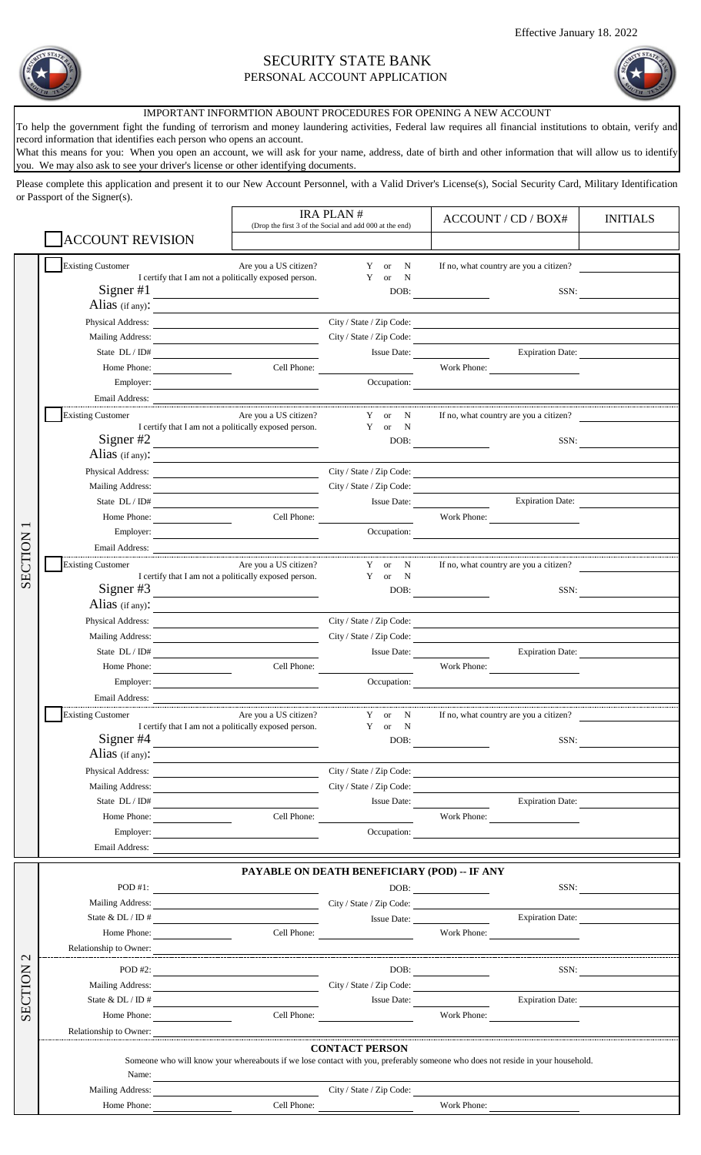

## SECURITY STATE BANK PERSONAL ACCOUNT APPLICATION

## IMPORTANT INFORMTION ABOUNT PROCEDURES FOR OPENING A NEW ACCOUNT

What this means for you: When you open an account, we will ask for your name, address, date of birth and other information that will allow us to identify To help the government fight the funding of terrorism and money laundering activities, Federal law requires all financial institutions to obtain, verify and record information that identifies each person who opens an account.

you. We may also ask to see your driver's license or other identifying documents.

Please complete this application and present it to our New Account Personnel, with a Valid Driver's License(s), Social Security Card, Military Identification or Passport of the Signer(s).

|                   |                                                                                                                                                                                  |                                                                                                                        | <b>IRA PLAN#</b>                                        | ACCOUNT / CD / BOX#                                                                                                                                                                                                                                                                                                                                         | <b>INITIALS</b>         |  |  |
|-------------------|----------------------------------------------------------------------------------------------------------------------------------------------------------------------------------|------------------------------------------------------------------------------------------------------------------------|---------------------------------------------------------|-------------------------------------------------------------------------------------------------------------------------------------------------------------------------------------------------------------------------------------------------------------------------------------------------------------------------------------------------------------|-------------------------|--|--|
|                   | <b>ACCOUNT REVISION</b>                                                                                                                                                          |                                                                                                                        | (Drop the first 3 of the Social and add 000 at the end) |                                                                                                                                                                                                                                                                                                                                                             |                         |  |  |
|                   | <b>Existing Customer</b>                                                                                                                                                         | Are you a US citizen?                                                                                                  | Y or N                                                  | If no, what country are you a citizen?                                                                                                                                                                                                                                                                                                                      |                         |  |  |
|                   |                                                                                                                                                                                  | I certify that I am not a politically exposed person.                                                                  | Y<br>$\mathbf N$<br><b>or</b>                           |                                                                                                                                                                                                                                                                                                                                                             |                         |  |  |
|                   | Signer $#1$                                                                                                                                                                      | <u> 1989 - Johann Barn, fransk politik (d. 1989)</u>                                                                   |                                                         | $\begin{picture}(150,10) \put(0,0){\line(1,0){10}} \put(15,0){\line(1,0){10}} \put(15,0){\line(1,0){10}} \put(15,0){\line(1,0){10}} \put(15,0){\line(1,0){10}} \put(15,0){\line(1,0){10}} \put(15,0){\line(1,0){10}} \put(15,0){\line(1,0){10}} \put(15,0){\line(1,0){10}} \put(15,0){\line(1,0){10}} \put(15,0){\line(1,0){10}} \put(15,0){\line($<br>SSN: |                         |  |  |
|                   | Alias (if any):                                                                                                                                                                  |                                                                                                                        |                                                         |                                                                                                                                                                                                                                                                                                                                                             |                         |  |  |
|                   |                                                                                                                                                                                  |                                                                                                                        |                                                         | City / State / Zip Code:                                                                                                                                                                                                                                                                                                                                    |                         |  |  |
|                   |                                                                                                                                                                                  |                                                                                                                        |                                                         |                                                                                                                                                                                                                                                                                                                                                             |                         |  |  |
|                   | State DL / ID#                                                                                                                                                                   |                                                                                                                        |                                                         | Issue Date: Expiration Date:                                                                                                                                                                                                                                                                                                                                |                         |  |  |
|                   | Home Phone:                                                                                                                                                                      |                                                                                                                        | Cell Phone:                                             | Work Phone:                                                                                                                                                                                                                                                                                                                                                 |                         |  |  |
|                   | Employer:                                                                                                                                                                        |                                                                                                                        |                                                         | Occupation:                                                                                                                                                                                                                                                                                                                                                 |                         |  |  |
|                   | <b>Existing Customer</b>                                                                                                                                                         | Are you a US citizen?                                                                                                  | Y or N                                                  | If no, what country are you a citizen?                                                                                                                                                                                                                                                                                                                      |                         |  |  |
|                   |                                                                                                                                                                                  | I certify that I am not a politically exposed person.                                                                  | Y or N                                                  |                                                                                                                                                                                                                                                                                                                                                             |                         |  |  |
|                   | Signer #2                                                                                                                                                                        |                                                                                                                        | DOB:                                                    | SSN:                                                                                                                                                                                                                                                                                                                                                        |                         |  |  |
|                   | Alias (if any):                                                                                                                                                                  |                                                                                                                        |                                                         |                                                                                                                                                                                                                                                                                                                                                             |                         |  |  |
|                   | Physical Address:                                                                                                                                                                |                                                                                                                        |                                                         | City / State / Zip Code:                                                                                                                                                                                                                                                                                                                                    |                         |  |  |
|                   |                                                                                                                                                                                  |                                                                                                                        | City / State / Zip Code:                                |                                                                                                                                                                                                                                                                                                                                                             |                         |  |  |
|                   |                                                                                                                                                                                  |                                                                                                                        |                                                         | Issue Date: Expiration Date:                                                                                                                                                                                                                                                                                                                                |                         |  |  |
|                   | Home Phone:                                                                                                                                                                      |                                                                                                                        | Cell Phone:                                             | Work Phone:                                                                                                                                                                                                                                                                                                                                                 |                         |  |  |
|                   |                                                                                                                                                                                  |                                                                                                                        |                                                         | Occupation:                                                                                                                                                                                                                                                                                                                                                 |                         |  |  |
| SECTION           |                                                                                                                                                                                  |                                                                                                                        |                                                         | Email Address: <u>Communications of the Communications of the Communications of the Communications of the Communications of the Communications of the Communications of the Communications of the Communications of the Communic</u>                                                                                                                        |                         |  |  |
|                   | <b>Existing Customer</b>                                                                                                                                                         | Are you a US citizen?<br>I certify that I am not a politically exposed person.                                         | Y or N<br>$\mathbf Y$ or $\mathbf N$                    | If no, what country are you a citizen?                                                                                                                                                                                                                                                                                                                      |                         |  |  |
|                   | Signer #3                                                                                                                                                                        |                                                                                                                        |                                                         | SSN:<br>DOB:                                                                                                                                                                                                                                                                                                                                                |                         |  |  |
|                   | Alias (if any): $\frac{1}{\sqrt{1-\frac{1}{2}}\sqrt{1-\frac{1}{2}}\left(\frac{1}{2}-\frac{1}{2}\right)}$                                                                         |                                                                                                                        |                                                         |                                                                                                                                                                                                                                                                                                                                                             |                         |  |  |
|                   |                                                                                                                                                                                  |                                                                                                                        |                                                         | Physical Address: City / State / Zip Code:                                                                                                                                                                                                                                                                                                                  |                         |  |  |
|                   |                                                                                                                                                                                  |                                                                                                                        |                                                         | City / State / Zip Code:                                                                                                                                                                                                                                                                                                                                    |                         |  |  |
|                   |                                                                                                                                                                                  |                                                                                                                        |                                                         | <b>Expiration Date:</b><br>Issue Date:                                                                                                                                                                                                                                                                                                                      |                         |  |  |
|                   | Home Phone:                                                                                                                                                                      |                                                                                                                        | Cell Phone:                                             | Work Phone:                                                                                                                                                                                                                                                                                                                                                 |                         |  |  |
|                   | Employer:                                                                                                                                                                        |                                                                                                                        |                                                         | Occupation:                                                                                                                                                                                                                                                                                                                                                 |                         |  |  |
|                   |                                                                                                                                                                                  |                                                                                                                        |                                                         | Email Address:                                                                                                                                                                                                                                                                                                                                              |                         |  |  |
|                   | <b>Existing Customer</b>                                                                                                                                                         | Are you a US citizen?<br>I certify that I am not a politically exposed person.                                         | Y or N<br>Y or<br>$\mathbf N$                           | If no, what country are you a citizen?                                                                                                                                                                                                                                                                                                                      |                         |  |  |
|                   | Signer $#4$                                                                                                                                                                      | <u> 1989 - Johann Barbara, martin amerikan basar da</u>                                                                | DOB:                                                    | SSN:                                                                                                                                                                                                                                                                                                                                                        |                         |  |  |
|                   | Alias (if any):                                                                                                                                                                  |                                                                                                                        |                                                         |                                                                                                                                                                                                                                                                                                                                                             |                         |  |  |
|                   | Physical Address: New York Physical Address:                                                                                                                                     |                                                                                                                        |                                                         | City / State / Zip Code:                                                                                                                                                                                                                                                                                                                                    |                         |  |  |
|                   | <b>Mailing Address:</b>                                                                                                                                                          | <u> Alexandria de la contexta de la contexta de la contexta de la contexta de la contexta de la contexta de la co</u>  |                                                         | City / State / Zip Code:                                                                                                                                                                                                                                                                                                                                    |                         |  |  |
|                   | State $DL/ID#$                                                                                                                                                                   |                                                                                                                        |                                                         | Issue Date:                                                                                                                                                                                                                                                                                                                                                 | <b>Expiration Date:</b> |  |  |
|                   | Home Phone:                                                                                                                                                                      |                                                                                                                        | Cell Phone:                                             | Work Phone:                                                                                                                                                                                                                                                                                                                                                 |                         |  |  |
|                   | Employer:                                                                                                                                                                        |                                                                                                                        |                                                         | Occupation:                                                                                                                                                                                                                                                                                                                                                 |                         |  |  |
|                   | Email Address:                                                                                                                                                                   |                                                                                                                        |                                                         |                                                                                                                                                                                                                                                                                                                                                             |                         |  |  |
|                   | PAYABLE ON DEATH BENEFICIARY (POD) -- IF ANY                                                                                                                                     |                                                                                                                        |                                                         |                                                                                                                                                                                                                                                                                                                                                             |                         |  |  |
|                   | $POD#1$ :                                                                                                                                                                        | <u> 1980 - Jan Samuel Barbara, margaret e</u> n 1980 eta 1980 - Antonio Barbara, espainiar eta 1980 - Antonio Barbara, |                                                         | SSN:                                                                                                                                                                                                                                                                                                                                                        |                         |  |  |
|                   | Mailing Address: City / State / Zip Code:                                                                                                                                        |                                                                                                                        |                                                         |                                                                                                                                                                                                                                                                                                                                                             |                         |  |  |
|                   | State & DL / ID #                                                                                                                                                                |                                                                                                                        |                                                         | Issue Date:                                                                                                                                                                                                                                                                                                                                                 | Expiration Date:        |  |  |
|                   | Home Phone:                                                                                                                                                                      |                                                                                                                        | Cell Phone:                                             | Work Phone:                                                                                                                                                                                                                                                                                                                                                 |                         |  |  |
| $\mathbf{\Omega}$ |                                                                                                                                                                                  |                                                                                                                        |                                                         |                                                                                                                                                                                                                                                                                                                                                             |                         |  |  |
|                   | POD #2:                                                                                                                                                                          |                                                                                                                        |                                                         | DOB:                                                                                                                                                                                                                                                                                                                                                        | SSN:                    |  |  |
|                   | Mailing Address: City / State / Zip Code:                                                                                                                                        |                                                                                                                        |                                                         |                                                                                                                                                                                                                                                                                                                                                             |                         |  |  |
| SECTION           | State & DL / ID #                                                                                                                                                                |                                                                                                                        |                                                         | Issue Date:                                                                                                                                                                                                                                                                                                                                                 | <b>Expiration Date:</b> |  |  |
|                   | Home Phone:                                                                                                                                                                      |                                                                                                                        |                                                         | Work Phone:                                                                                                                                                                                                                                                                                                                                                 |                         |  |  |
|                   |                                                                                                                                                                                  |                                                                                                                        |                                                         |                                                                                                                                                                                                                                                                                                                                                             |                         |  |  |
|                   | Relationship to Owner:<br><b>CONTACT PERSON</b><br>Someone who will know your whereabouts if we lose contact with you, preferably someone who does not reside in your household. |                                                                                                                        |                                                         |                                                                                                                                                                                                                                                                                                                                                             |                         |  |  |
|                   |                                                                                                                                                                                  | Name: $\qquad \qquad$                                                                                                  |                                                         |                                                                                                                                                                                                                                                                                                                                                             |                         |  |  |
|                   | Mailing Address: City / State / Zip Code:                                                                                                                                        |                                                                                                                        |                                                         | <u> 1989 - Johann Barn, mars ann an t-Amhain Aonaichte ann an t-Aonaichte ann an t-Aonaichte ann an t-Aonaichte a</u>                                                                                                                                                                                                                                       |                         |  |  |
|                   | Home Phone:                                                                                                                                                                      |                                                                                                                        | Cell Phone:                                             | Work Phone: $\frac{ }{ }$                                                                                                                                                                                                                                                                                                                                   |                         |  |  |
|                   |                                                                                                                                                                                  |                                                                                                                        |                                                         |                                                                                                                                                                                                                                                                                                                                                             |                         |  |  |